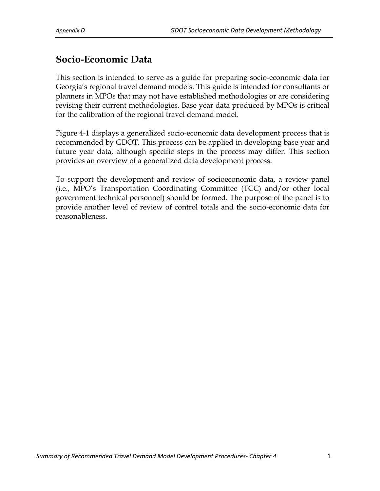# **Socio-Economic Data**

This section is intended to serve as a guide for preparing socio-economic data for Georgia's regional travel demand models. This guide is intended for consultants or planners in MPOs that may not have established methodologies or are considering revising their current methodologies. Base year data produced by MPOs is critical for the calibration of the regional travel demand model.

Figure 4-1 displays a generalized socio-economic data development process that is recommended by GDOT. This process can be applied in developing base year and future year data, although specific steps in the process may differ. This section provides an overview of a generalized data development process.

To support the development and review of socioeconomic data, a review panel (i.e., MPO's Transportation Coordinating Committee (TCC) and/or other local government technical personnel) should be formed. The purpose of the panel is to provide another level of review of control totals and the socio-economic data for reasonableness.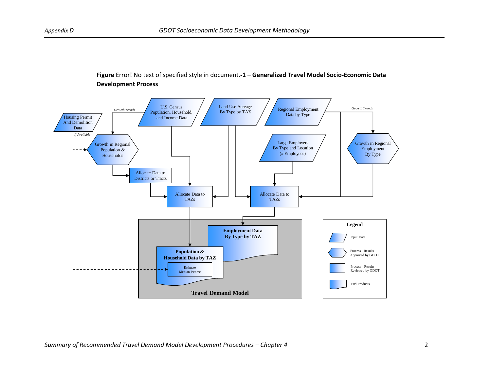### **Figure 4-1 Figure** Error! No text of specified style in document.**-1 – Generalized Travel Model Socio-Economic Data Generalized Travel Model Socio-Economic Data Development Process Development Process**

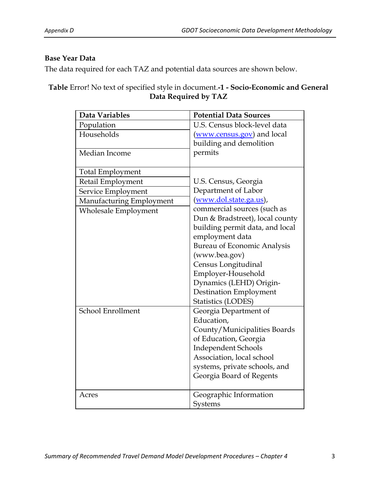#### **Base Year Data**

The data required for each TAZ and potential data sources are shown below.

**Table** Error! No text of specified style in document.**-1 - Socio-Economic and General Data Required by TAZ**

| Data Variables           | <b>Potential Data Sources</b>                           |
|--------------------------|---------------------------------------------------------|
| Population               | U.S. Census block-level data                            |
| Households               | (www.census.gov) and local                              |
|                          | building and demolition                                 |
| Median Income            | permits                                                 |
|                          |                                                         |
| Total Employment         |                                                         |
| Retail Employment        | U.S. Census, Georgia                                    |
| Service Employment       | Department of Labor                                     |
| Manufacturing Employment | (www.dol.state.ga.us),                                  |
| Wholesale Employment     | commercial sources (such as                             |
|                          | Dun & Bradstreet), local county                         |
|                          | building permit data, and local                         |
|                          | employment data                                         |
|                          | <b>Bureau of Economic Analysis</b>                      |
|                          | (www.bea.gov)                                           |
|                          | Census Longitudinal                                     |
|                          | Employer-Household                                      |
|                          | Dynamics (LEHD) Origin-                                 |
|                          | <b>Destination Employment</b>                           |
|                          | Statistics (LODES)                                      |
| School Enrollment        | Georgia Department of                                   |
|                          | Education,                                              |
|                          | County/Municipalities Boards                            |
|                          | of Education, Georgia                                   |
|                          | <b>Independent Schools</b><br>Association, local school |
|                          |                                                         |
|                          | systems, private schools, and                           |
|                          | Georgia Board of Regents                                |
| Acres                    | Geographic Information                                  |
|                          | Systems                                                 |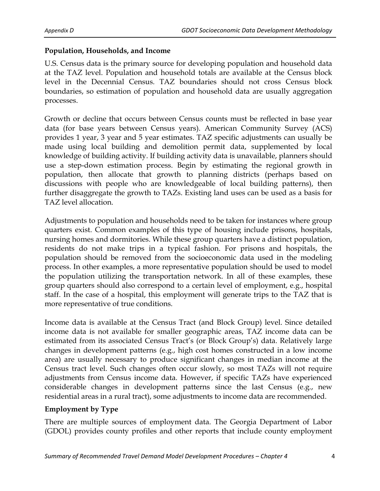### **Population, Households, and Income**

U.S. Census data is the primary source for developing population and household data at the TAZ level. Population and household totals are available at the Census block level in the Decennial Census. TAZ boundaries should not cross Census block boundaries, so estimation of population and household data are usually aggregation processes.

Growth or decline that occurs between Census counts must be reflected in base year data (for base years between Census years). American Community Survey (ACS) provides 1 year, 3 year and 5 year estimates. TAZ specific adjustments can usually be made using local building and demolition permit data, supplemented by local knowledge of building activity. If building activity data is unavailable, planners should use a step-down estimation process. Begin by estimating the regional growth in population, then allocate that growth to planning districts (perhaps based on discussions with people who are knowledgeable of local building patterns), then further disaggregate the growth to TAZs. Existing land uses can be used as a basis for TAZ level allocation.

Adjustments to population and households need to be taken for instances where group quarters exist. Common examples of this type of housing include prisons, hospitals, nursing homes and dormitories. While these group quarters have a distinct population, residents do not make trips in a typical fashion. For prisons and hospitals, the population should be removed from the socioeconomic data used in the modeling process. In other examples, a more representative population should be used to model the population utilizing the transportation network. In all of these examples, these group quarters should also correspond to a certain level of employment, e.g., hospital staff. In the case of a hospital, this employment will generate trips to the TAZ that is more representative of true conditions.

Income data is available at the Census Tract (and Block Group) level. Since detailed income data is not available for smaller geographic areas, TAZ income data can be estimated from its associated Census Tract's (or Block Group's) data. Relatively large changes in development patterns (e.g., high cost homes constructed in a low income area) are usually necessary to produce significant changes in median income at the Census tract level. Such changes often occur slowly, so most TAZs will not require adjustments from Census income data. However, if specific TAZs have experienced considerable changes in development patterns since the last Census (e.g., new residential areas in a rural tract), some adjustments to income data are recommended.

### **Employment by Type**

There are multiple sources of employment data. The Georgia Department of Labor (GDOL) provides county profiles and other reports that include county employment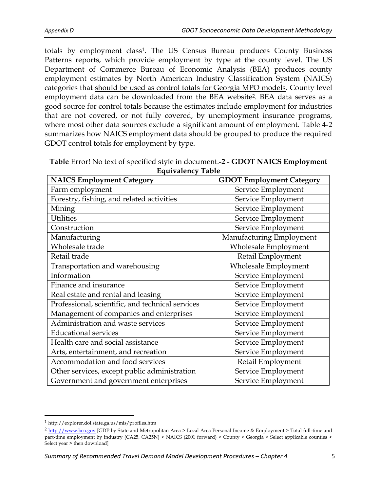totals by employment class<sup>1</sup>. The US Census Bureau produces County Business Patterns reports, which provide employment by type at the county level. The US Department of Commerce Bureau of Economic Analysis (BEA) produces county employment estimates by North American Industry Classification System (NAICS) categories that should be used as control totals for Georgia MPO models. County level employment data can be downloaded from the BEA website<sup>2</sup> . BEA data serves as a good source for control totals because the estimates include employment for industries that are not covered, or not fully covered, by unemployment insurance programs, where most other data sources exclude a significant amount of employment. Table 4-2 summarizes how NAICS employment data should be grouped to produce the required GDOT control totals for employment by type.

| <b>Equivalency Table</b>                  |                                 |  |
|-------------------------------------------|---------------------------------|--|
| <b>NAICS Employment Category</b>          | <b>GDOT Employment Category</b> |  |
| Farm employment                           | Service Employment              |  |
| Forestry, fishing, and related activities | Service Employment              |  |
| Mining                                    | Service Employment              |  |

| Table Error! No text of specified style in document.-2 - GDOT NAICS Employment |
|--------------------------------------------------------------------------------|
| <b>Equivalency Table</b>                                                       |

| Farm employment                                  | Service Employment       |
|--------------------------------------------------|--------------------------|
| Forestry, fishing, and related activities        | Service Employment       |
| Mining                                           | Service Employment       |
| <b>Utilities</b>                                 | Service Employment       |
| Construction                                     | Service Employment       |
| Manufacturing                                    | Manufacturing Employment |
| Wholesale trade                                  | Wholesale Employment     |
| Retail trade                                     | Retail Employment        |
| Transportation and warehousing                   | Wholesale Employment     |
| Information                                      | Service Employment       |
| Finance and insurance                            | Service Employment       |
| Real estate and rental and leasing               | Service Employment       |
| Professional, scientific, and technical services | Service Employment       |
| Management of companies and enterprises          | Service Employment       |
| Administration and waste services                | Service Employment       |
| <b>Educational services</b>                      | Service Employment       |
| Health care and social assistance                | Service Employment       |
| Arts, entertainment, and recreation              | Service Employment       |
| Accommodation and food services                  | Retail Employment        |
| Other services, except public administration     | Service Employment       |
| Government and government enterprises            | Service Employment       |

l

<sup>1</sup> http://explorer.dol.state.ga.us/mis/profiles.htm

<sup>2</sup> [http://www.bea.gov](http://www.bea.gov/) [GDP by State and Metropolitan Area > Local Area Personal Income & Employment > Total full-time and part-time employment by industry (CA25, CA25N) > NAICS (2001 forward) > County > Georgia > Select applicable counties > Select year > then download]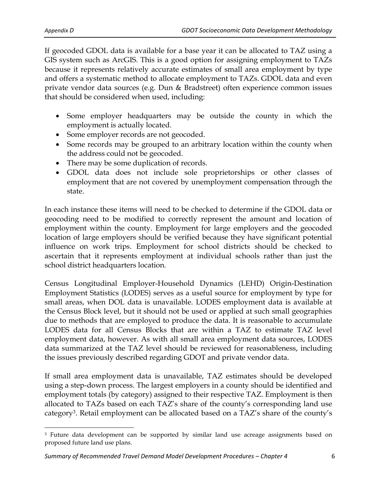If geocoded GDOL data is available for a base year it can be allocated to TAZ using a GIS system such as ArcGIS. This is a good option for assigning employment to TAZs because it represents relatively accurate estimates of small area employment by type and offers a systematic method to allocate employment to TAZs. GDOL data and even private vendor data sources (e.g. Dun & Bradstreet) often experience common issues that should be considered when used, including:

- Some employer headquarters may be outside the county in which the employment is actually located.
- Some employer records are not geocoded.
- Some records may be grouped to an arbitrary location within the county when the address could not be geocoded.
- There may be some duplication of records.
- GDOL data does not include sole proprietorships or other classes of employment that are not covered by unemployment compensation through the state.

In each instance these items will need to be checked to determine if the GDOL data or geocoding need to be modified to correctly represent the amount and location of employment within the county. Employment for large employers and the geocoded location of large employers should be verified because they have significant potential influence on work trips. Employment for school districts should be checked to ascertain that it represents employment at individual schools rather than just the school district headquarters location.

Census Longitudinal Employer-Household Dynamics (LEHD) Origin-Destination Employment Statistics (LODES) serves as a useful source for employment by type for small areas, when DOL data is unavailable. LODES employment data is available at the Census Block level, but it should not be used or applied at such small geographies due to methods that are employed to produce the data. It is reasonable to accumulate LODES data for all Census Blocks that are within a TAZ to estimate TAZ level employment data, however. As with all small area employment data sources, LODES data summarized at the TAZ level should be reviewed for reasonableness, including the issues previously described regarding GDOT and private vendor data.

If small area employment data is unavailable, TAZ estimates should be developed using a step-down process. The largest employers in a county should be identified and employment totals (by category) assigned to their respective TAZ. Employment is then allocated to TAZs based on each TAZ's share of the county's corresponding land use category<sup>3</sup> . Retail employment can be allocated based on a TAZ's share of the county's

 $\overline{a}$ <sup>3</sup> Future data development can be supported by similar land use acreage assignments based on proposed future land use plans.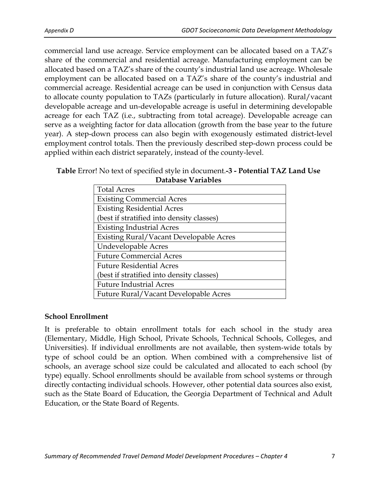commercial land use acreage. Service employment can be allocated based on a TAZ's share of the commercial and residential acreage. Manufacturing employment can be allocated based on a TAZ's share of the county's industrial land use acreage. Wholesale employment can be allocated based on a TAZ's share of the county's industrial and commercial acreage. Residential acreage can be used in conjunction with Census data to allocate county population to TAZs (particularly in future allocation). Rural/vacant developable acreage and un-developable acreage is useful in determining developable acreage for each TAZ (i.e., subtracting from total acreage). Developable acreage can serve as a weighting factor for data allocation (growth from the base year to the future year). A step-down process can also begin with exogenously estimated district-level employment control totals. Then the previously described step-down process could be applied within each district separately, instead of the county-level.

#### **Table** Error! No text of specified style in document.**-3 - Potential TAZ Land Use Database Variables**

| <b>Total Acres</b>                             |  |
|------------------------------------------------|--|
| <b>Existing Commercial Acres</b>               |  |
| <b>Existing Residential Acres</b>              |  |
| (best if stratified into density classes)      |  |
| <b>Existing Industrial Acres</b>               |  |
| <b>Existing Rural/Vacant Developable Acres</b> |  |
| <b>Undevelopable Acres</b>                     |  |
| <b>Future Commercial Acres</b>                 |  |
| <b>Future Residential Acres</b>                |  |
| (best if stratified into density classes)      |  |
| <b>Future Industrial Acres</b>                 |  |
| Future Rural/Vacant Developable Acres          |  |

#### **School Enrollment**

It is preferable to obtain enrollment totals for each school in the study area (Elementary, Middle, High School, Private Schools, Technical Schools, Colleges, and Universities). If individual enrollments are not available, then system-wide totals by type of school could be an option. When combined with a comprehensive list of schools, an average school size could be calculated and allocated to each school (by type) equally. School enrollments should be available from school systems or through directly contacting individual schools. However, other potential data sources also exist, such as the State Board of Education, the Georgia Department of Technical and Adult Education, or the State Board of Regents.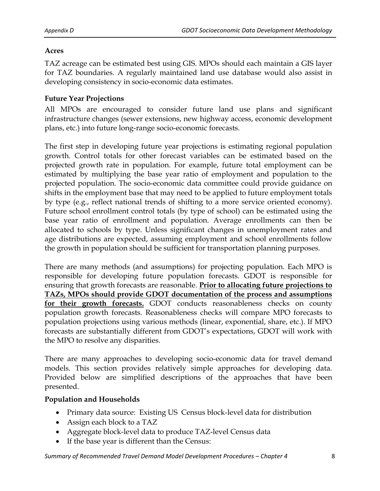### **Acres**

TAZ acreage can be estimated best using GIS. MPOs should each maintain a GIS layer for TAZ boundaries. A regularly maintained land use database would also assist in developing consistency in socio-economic data estimates.

# **Future Year Projections**

All MPOs are encouraged to consider future land use plans and significant infrastructure changes (sewer extensions, new highway access, economic development plans, etc.) into future long-range socio-economic forecasts.

The first step in developing future year projections is estimating regional population growth. Control totals for other forecast variables can be estimated based on the projected growth rate in population. For example, future total employment can be estimated by multiplying the base year ratio of employment and population to the projected population. The socio-economic data committee could provide guidance on shifts in the employment base that may need to be applied to future employment totals by type (e.g., reflect national trends of shifting to a more service oriented economy). Future school enrollment control totals (by type of school) can be estimated using the base year ratio of enrollment and population. Average enrollments can then be allocated to schools by type. Unless significant changes in unemployment rates and age distributions are expected, assuming employment and school enrollments follow the growth in population should be sufficient for transportation planning purposes.

There are many methods (and assumptions) for projecting population. Each MPO is responsible for developing future population forecasts. GDOT is responsible for ensuring that growth forecasts are reasonable. **Prior to allocating future projections to TAZs, MPOs should provide GDOT documentation of the process and assumptions**  for their growth forecasts. GDOT conducts reasonableness checks on county population growth forecasts. Reasonableness checks will compare MPO forecasts to population projections using various methods (linear, exponential, share, etc.). If MPO forecasts are substantially different from GDOT's expectations, GDOT will work with the MPO to resolve any disparities.

There are many approaches to developing socio-economic data for travel demand models. This section provides relatively simple approaches for developing data. Provided below are simplified descriptions of the approaches that have been presented.

### **Population and Households**

- Primary data source: Existing US Census block-level data for distribution
- Assign each block to a TAZ
- Aggregate block-level data to produce TAZ-level Census data
- If the base year is different than the Census: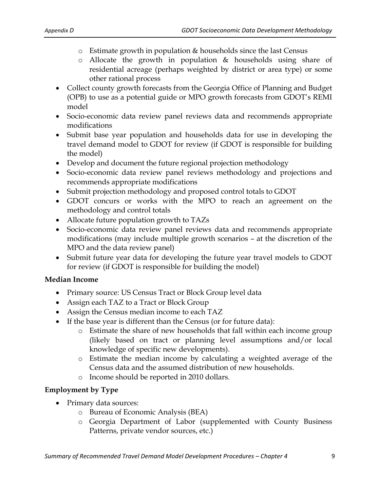- o Estimate growth in population & households since the last Census
- o Allocate the growth in population & households using share of residential acreage (perhaps weighted by district or area type) or some other rational process
- Collect county growth forecasts from the Georgia Office of Planning and Budget (OPB) to use as a potential guide or MPO growth forecasts from GDOT's REMI model
- Socio-economic data review panel reviews data and recommends appropriate modifications
- Submit base year population and households data for use in developing the travel demand model to GDOT for review (if GDOT is responsible for building the model)
- Develop and document the future regional projection methodology
- Socio-economic data review panel reviews methodology and projections and recommends appropriate modifications
- Submit projection methodology and proposed control totals to GDOT
- GDOT concurs or works with the MPO to reach an agreement on the methodology and control totals
- Allocate future population growth to TAZs
- Socio-economic data review panel reviews data and recommends appropriate modifications (may include multiple growth scenarios – at the discretion of the MPO and the data review panel)
- Submit future year data for developing the future year travel models to GDOT for review (if GDOT is responsible for building the model)

### **Median Income**

- Primary source: US Census Tract or Block Group level data
- Assign each TAZ to a Tract or Block Group
- Assign the Census median income to each TAZ
- If the base year is different than the Census (or for future data):
	- o Estimate the share of new households that fall within each income group (likely based on tract or planning level assumptions and/or local knowledge of specific new developments).
	- o Estimate the median income by calculating a weighted average of the Census data and the assumed distribution of new households.
	- o Income should be reported in 2010 dollars.

### **Employment by Type**

- Primary data sources:
	- o Bureau of Economic Analysis (BEA)
	- o Georgia Department of Labor (supplemented with County Business Patterns, private vendor sources, etc.)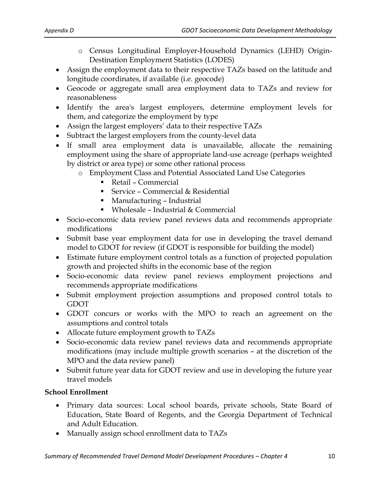- o Census Longitudinal Employer-Household Dynamics (LEHD) Origin-Destination Employment Statistics (LODES)
- Assign the employment data to their respective TAZs based on the latitude and longitude coordinates, if available (i.e. geocode)
- Geocode or aggregate small area employment data to TAZs and review for reasonableness
- Identify the area's largest employers, determine employment levels for them, and categorize the employment by type
- Assign the largest employers' data to their respective TAZs
- Subtract the largest employers from the county-level data
- If small area employment data is unavailable, allocate the remaining employment using the share of appropriate land-use acreage (perhaps weighted by district or area type) or some other rational process
	- o Employment Class and Potential Associated Land Use Categories
		- Retail Commercial
		- Service Commercial & Residential
		- Manufacturing Industrial
		- Wholesale Industrial & Commercial
- Socio-economic data review panel reviews data and recommends appropriate modifications
- Submit base year employment data for use in developing the travel demand model to GDOT for review (if GDOT is responsible for building the model)
- Estimate future employment control totals as a function of projected population growth and projected shifts in the economic base of the region
- Socio-economic data review panel reviews employment projections and recommends appropriate modifications
- Submit employment projection assumptions and proposed control totals to GDOT
- GDOT concurs or works with the MPO to reach an agreement on the assumptions and control totals
- Allocate future employment growth to TAZs
- Socio-economic data review panel reviews data and recommends appropriate modifications (may include multiple growth scenarios – at the discretion of the MPO and the data review panel)
- Submit future year data for GDOT review and use in developing the future year travel models

# **School Enrollment**

- Primary data sources: Local school boards, private schools, State Board of Education, State Board of Regents, and the Georgia Department of Technical and Adult Education.
- Manually assign school enrollment data to TAZs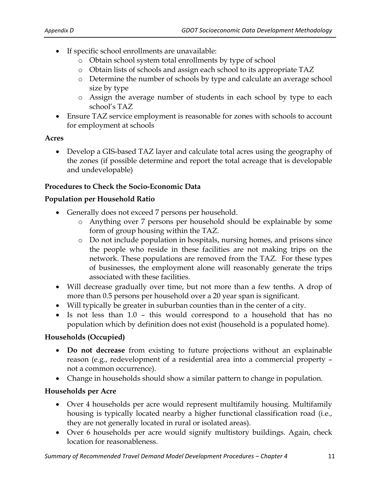- If specific school enrollments are unavailable:
	- o Obtain school system total enrollments by type of school
	- o Obtain lists of schools and assign each school to its appropriate TAZ
	- o Determine the number of schools by type and calculate an average school size by type
	- o Assign the average number of students in each school by type to each school's TAZ
- Ensure TAZ service employment is reasonable for zones with schools to account for employment at schools

# **Acres**

 Develop a GIS-based TAZ layer and calculate total acres using the geography of the zones (if possible determine and report the total acreage that is developable and undevelopable)

# **Procedures to Check the Socio-Economic Data**

### **Population per Household Ratio**

- Generally does not exceed 7 persons per household.
	- o Anything over 7 persons per household should be explainable by some form of group housing within the TAZ.
	- o Do not include population in hospitals, nursing homes, and prisons since the people who reside in these facilities are not making trips on the network. These populations are removed from the TAZ. For these types of businesses, the employment alone will reasonably generate the trips associated with these facilities.
- Will decrease gradually over time, but not more than a few tenths. A drop of more than 0.5 persons per household over a 20 year span is significant.
- Will typically be greater in suburban counties than in the center of a city.
- Is not less than 1.0 this would correspond to a household that has no population which by definition does not exist (household is a populated home).

# **Households (Occupied)**

- **Do not decrease** from existing to future projections without an explainable reason (e.g., redevelopment of a residential area into a commercial property – not a common occurrence).
- Change in households should show a similar pattern to change in population.

# **Households per Acre**

- Over 4 households per acre would represent multifamily housing. Multifamily housing is typically located nearby a higher functional classification road (i.e., they are not generally located in rural or isolated areas).
- Over 6 households per acre would signify multistory buildings. Again, check location for reasonableness.